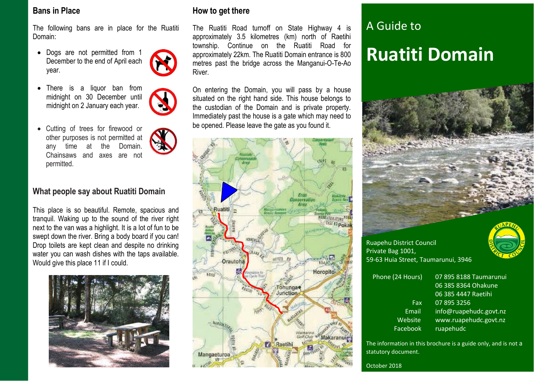### **Bans in Place**

The following bans are in place for the Ruatiti Domain:

- Dogs are not permitted from 1 December to the end of April each year.
- There is a liquor ban from midnight on 30 December until midnight on 2 January each year.



 Cutting of trees for firewood or other purposes is not permitted at any time at the Domain. Chainsaws and axes are not permitted.

## **What people say about Ruatiti Domain**

This place is so beautiful. Remote, spacious and tranquil. Waking up to the sound of the river right next to the van was a highlight. It is a lot of fun to be swept down the river. Bring a body board if you can! Drop toilets are kept clean and despite no drinking water you can wash dishes with the taps available. Would give this place 11 if I could.



## **How to get there**

The Ruatiti Road turnoff on State Highway 4 is approximately 3.5 kilometres (km) north of Raetihi township. Continue on the Ruatiti Road for approximately 22km. The Ruatiti Domain entrance is 800 metres past the bridge across the Manganui-O-Te-Ao River.

On entering the Domain, you will pass by a house situated on the right hand side. This house belongs to the custodian of the Domain and is private property. Immediately past the house is a gate which may need to be opened. Please leave the gate as you found it.



# A Guide to **Ruatiti Domain**



Ruapehu District Council Private Bag 1001, 59-63 Huia Street, Taumarunui, 3946

| Phone (24 Hours) | 07 895 8188 Taumarunui |
|------------------|------------------------|
|                  | 06 385 8364 Ohakune    |
|                  | 06 385 4447 Raetihi    |
| Fax              | 07 895 3256            |
| Email            | info@ruapehudc.govt.nz |
| Website          | www.ruapehudc.govt.nz  |
| Facebook         | ruapehudc              |
|                  |                        |

The information in this brochure is a guide only, and is not a statutory document.

October 2018